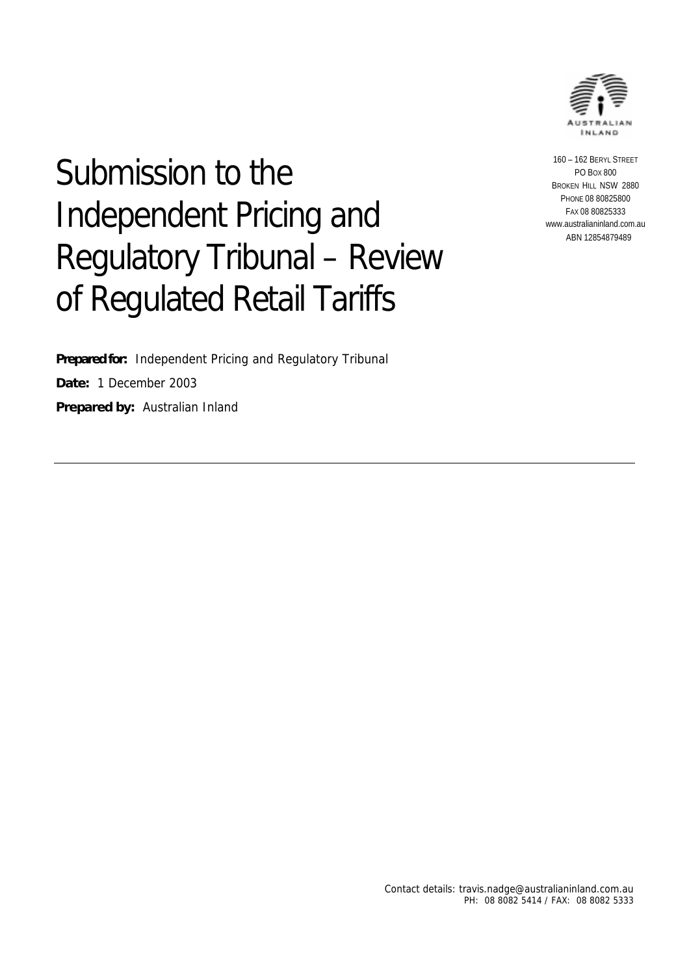

# Submission to the Independent Pricing and Regulatory Tribunal – Review of Regulated Retail Tariffs

**Prepared for:** Independent Pricing and Regulatory Tribunal **Date:** 1 December 2003 **Prepared by:** Australian Inland

160 – 162 BERYL STREET PO BOX 800 BROKEN HILL NSW 2880 PHONE 08 80825800 FAX 08 80825333 www.australianinland.com.au ABN 12854879489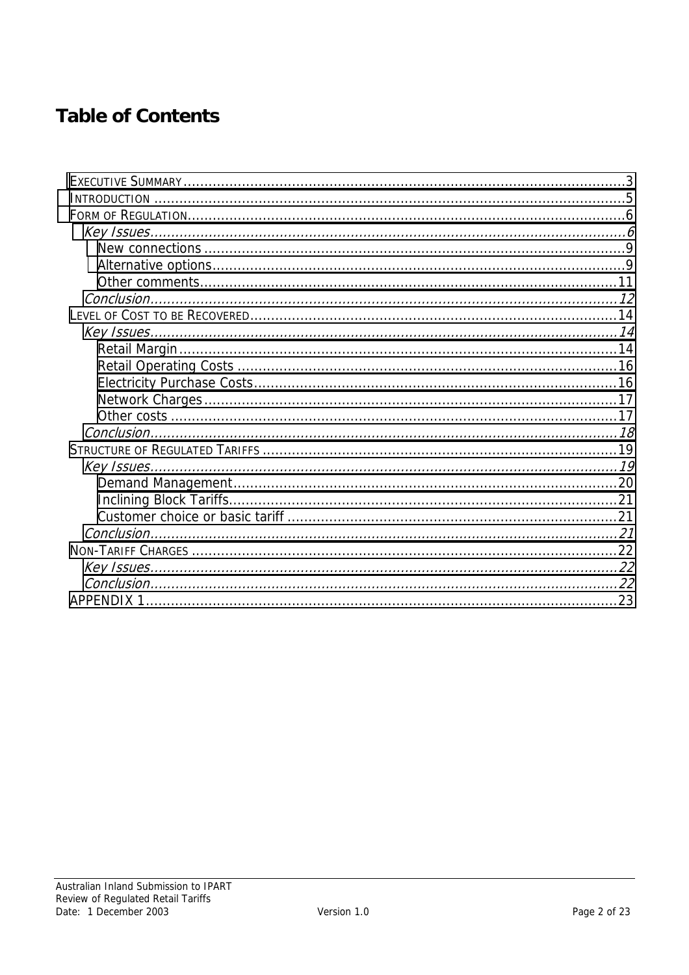## **Table of Contents**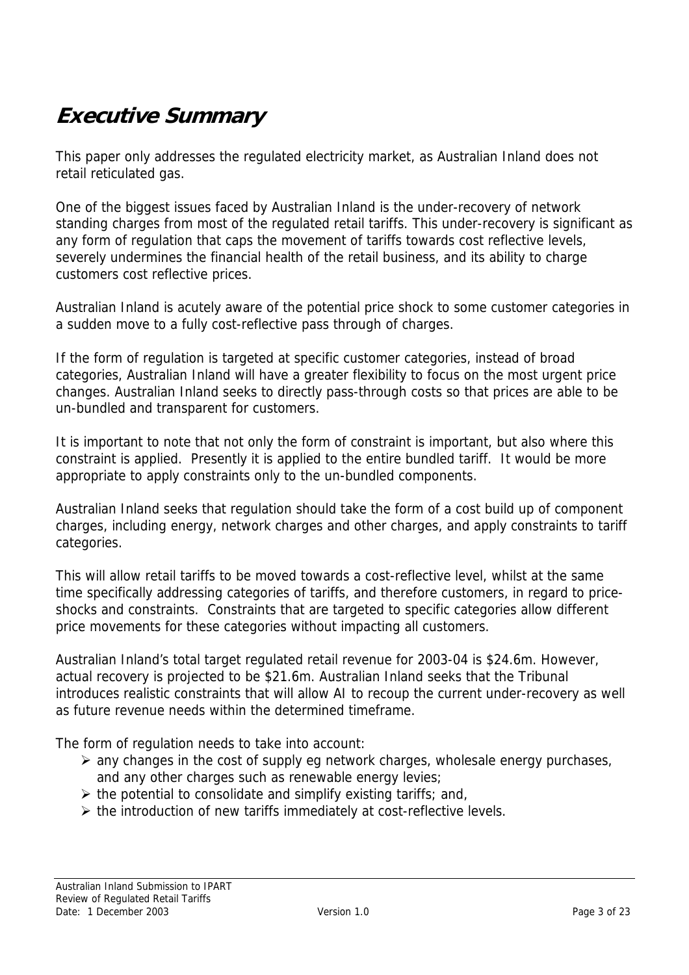## <span id="page-2-0"></span>**Executive Summary**

This paper only addresses the regulated electricity market, as Australian Inland does not retail reticulated gas.

One of the biggest issues faced by Australian Inland is the under-recovery of network standing charges from most of the regulated retail tariffs. This under-recovery is significant as any form of regulation that caps the movement of tariffs towards cost reflective levels, severely undermines the financial health of the retail business, and its ability to charge customers cost reflective prices.

Australian Inland is acutely aware of the potential price shock to some customer categories in a sudden move to a fully cost-reflective pass through of charges.

If the form of regulation is targeted at specific customer categories, instead of broad categories, Australian Inland will have a greater flexibility to focus on the most urgent price changes. Australian Inland seeks to directly pass-through costs so that prices are able to be un-bundled and transparent for customers.

It is important to note that not only the form of constraint is important, but also where this constraint is applied. Presently it is applied to the entire bundled tariff. It would be more appropriate to apply constraints only to the un-bundled components.

Australian Inland seeks that regulation should take the form of a cost build up of component charges, including energy, network charges and other charges, and apply constraints to tariff categories.

This will allow retail tariffs to be moved towards a cost-reflective level, whilst at the same time specifically addressing categories of tariffs, and therefore customers, in regard to priceshocks and constraints. Constraints that are targeted to specific categories allow different price movements for these categories without impacting all customers.

Australian Inland's total target regulated retail revenue for 2003-04 is \$24.6m. However, actual recovery is projected to be \$21.6m. Australian Inland seeks that the Tribunal introduces realistic constraints that will allow AI to recoup the current under-recovery as well as future revenue needs within the determined timeframe.

The form of regulation needs to take into account:

- $\triangleright$  any changes in the cost of supply eg network charges, wholesale energy purchases, and any other charges such as renewable energy levies;
- $\triangleright$  the potential to consolidate and simplify existing tariffs; and,
- $\triangleright$  the introduction of new tariffs immediately at cost-reflective levels.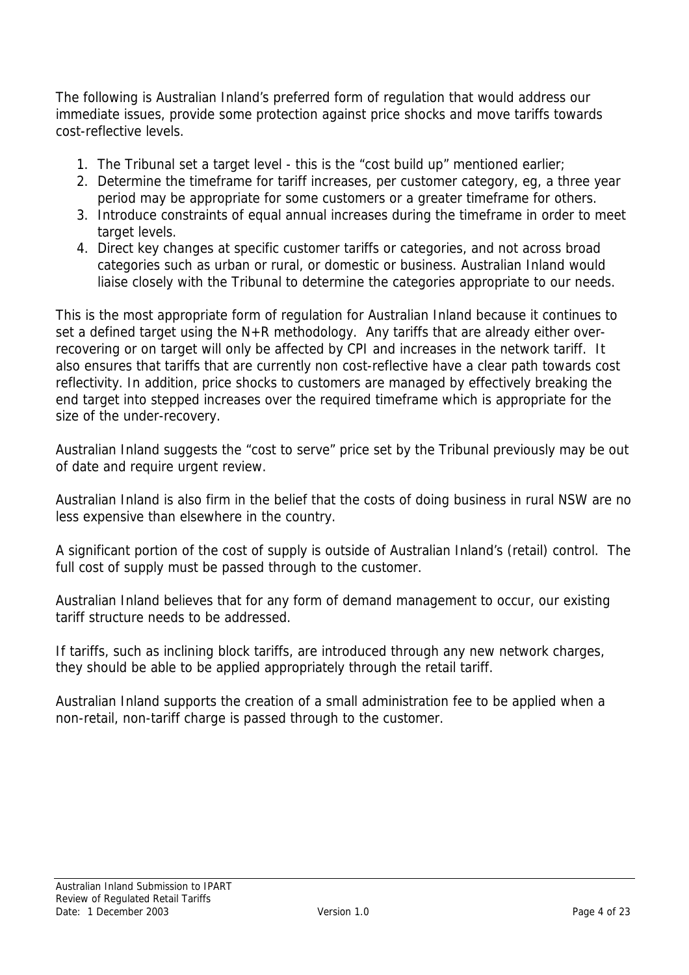The following is Australian Inland's preferred form of regulation that would address our immediate issues, provide some protection against price shocks and move tariffs towards cost-reflective levels.

- 1. The Tribunal set a target level this is the "cost build up" mentioned earlier;
- 2. Determine the timeframe for tariff increases, per customer category, eg, a three year period may be appropriate for some customers or a greater timeframe for others.
- 3. Introduce constraints of equal annual increases during the timeframe in order to meet target levels.
- 4. Direct key changes at specific customer tariffs or categories, and not across broad categories such as urban or rural, or domestic or business. Australian Inland would liaise closely with the Tribunal to determine the categories appropriate to our needs.

This is the most appropriate form of regulation for Australian Inland because it continues to set a defined target using the N+R methodology. Any tariffs that are already either overrecovering or on target will only be affected by CPI and increases in the network tariff. It also ensures that tariffs that are currently non cost-reflective have a clear path towards cost reflectivity. In addition, price shocks to customers are managed by effectively breaking the end target into stepped increases over the required timeframe which is appropriate for the size of the under-recovery.

Australian Inland suggests the "cost to serve" price set by the Tribunal previously may be out of date and require urgent review.

Australian Inland is also firm in the belief that the costs of doing business in rural NSW are no less expensive than elsewhere in the country.

A significant portion of the cost of supply is outside of Australian Inland's (retail) control. The full cost of supply must be passed through to the customer.

Australian Inland believes that for any form of demand management to occur, our existing tariff structure needs to be addressed.

If tariffs, such as inclining block tariffs, are introduced through any new network charges, they should be able to be applied appropriately through the retail tariff.

Australian Inland supports the creation of a small administration fee to be applied when a non-retail, non-tariff charge is passed through to the customer.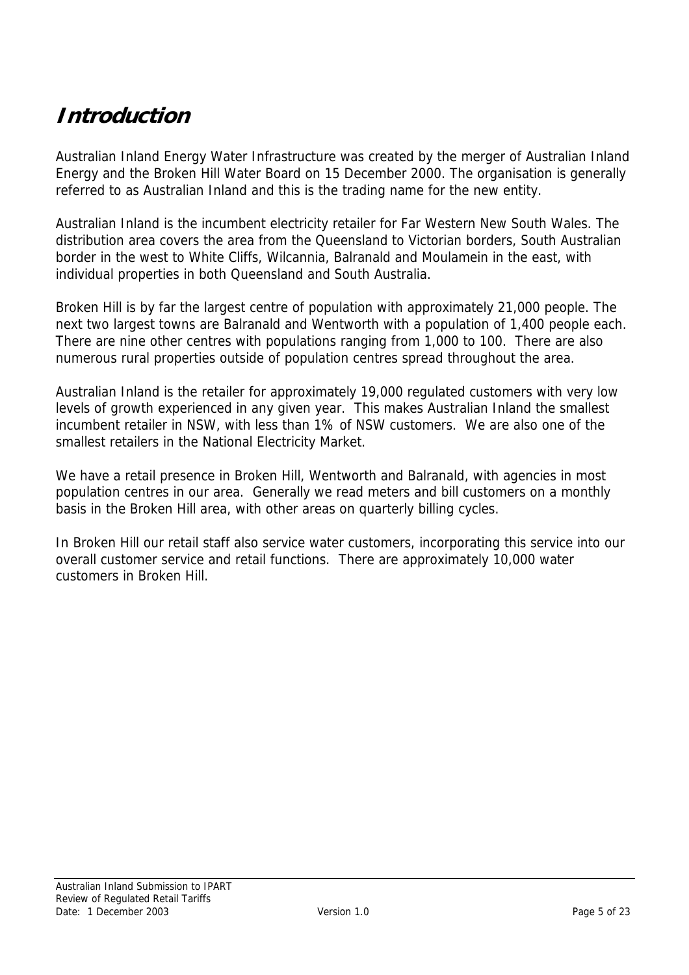## <span id="page-4-0"></span>**Introduction**

Australian Inland Energy Water Infrastructure was created by the merger of Australian Inland Energy and the Broken Hill Water Board on 15 December 2000. The organisation is generally referred to as Australian Inland and this is the trading name for the new entity.

Australian Inland is the incumbent electricity retailer for Far Western New South Wales. The distribution area covers the area from the Queensland to Victorian borders, South Australian border in the west to White Cliffs, Wilcannia, Balranald and Moulamein in the east, with individual properties in both Queensland and South Australia.

Broken Hill is by far the largest centre of population with approximately 21,000 people. The next two largest towns are Balranald and Wentworth with a population of 1,400 people each. There are nine other centres with populations ranging from 1,000 to 100. There are also numerous rural properties outside of population centres spread throughout the area.

Australian Inland is the retailer for approximately 19,000 regulated customers with very low levels of growth experienced in any given year. This makes Australian Inland the smallest incumbent retailer in NSW, with less than 1% of NSW customers. We are also one of the smallest retailers in the National Electricity Market.

We have a retail presence in Broken Hill, Wentworth and Balranald, with agencies in most population centres in our area. Generally we read meters and bill customers on a monthly basis in the Broken Hill area, with other areas on quarterly billing cycles.

In Broken Hill our retail staff also service water customers, incorporating this service into our overall customer service and retail functions. There are approximately 10,000 water customers in Broken Hill.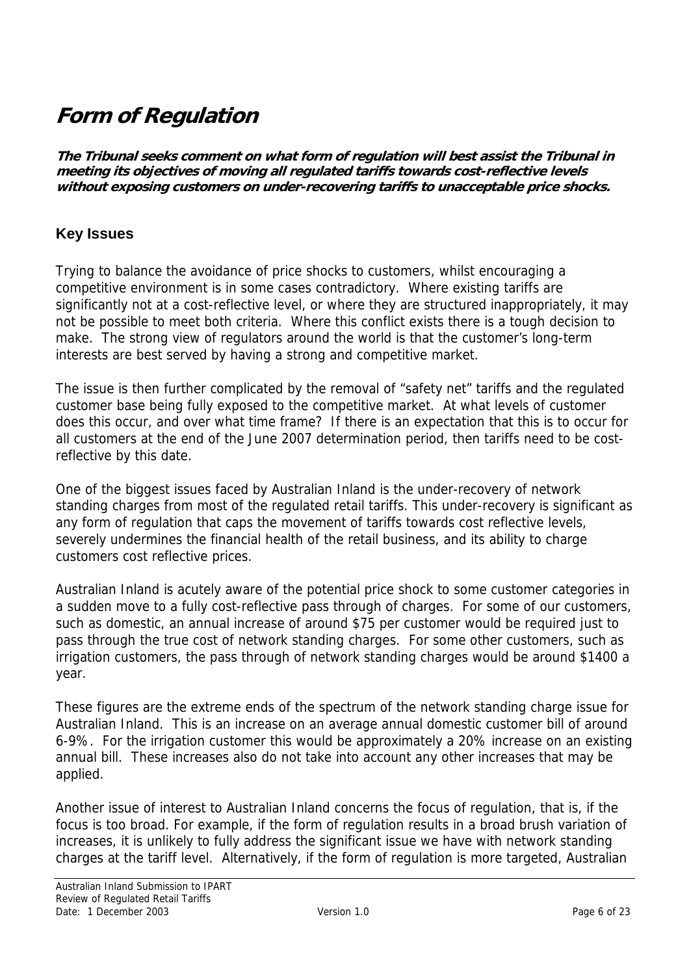## <span id="page-5-0"></span>**Form of Regulation**

**The Tribunal seeks comment on what form of regulation will best assist the Tribunal in meeting its objectives of moving all regulated tariffs towards cost-reflective levels without exposing customers on under-recovering tariffs to unacceptable price shocks.** 

### **Key Issues**

Trying to balance the avoidance of price shocks to customers, whilst encouraging a competitive environment is in some cases contradictory. Where existing tariffs are significantly not at a cost-reflective level, or where they are structured inappropriately, it may not be possible to meet both criteria. Where this conflict exists there is a tough decision to make. The strong view of regulators around the world is that the customer's long-term interests are best served by having a strong and competitive market.

The issue is then further complicated by the removal of "safety net" tariffs and the regulated customer base being fully exposed to the competitive market. At what levels of customer does this occur, and over what time frame? If there is an expectation that this is to occur for all customers at the end of the June 2007 determination period, then tariffs need to be costreflective by this date.

One of the biggest issues faced by Australian Inland is the under-recovery of network standing charges from most of the regulated retail tariffs. This under-recovery is significant as any form of regulation that caps the movement of tariffs towards cost reflective levels, severely undermines the financial health of the retail business, and its ability to charge customers cost reflective prices.

Australian Inland is acutely aware of the potential price shock to some customer categories in a sudden move to a fully cost-reflective pass through of charges. For some of our customers, such as domestic, an annual increase of around \$75 per customer would be required just to pass through the true cost of network standing charges. For some other customers, such as irrigation customers, the pass through of network standing charges would be around \$1400 a year.

These figures are the extreme ends of the spectrum of the network standing charge issue for Australian Inland. This is an increase on an average annual domestic customer bill of around 6-9%. For the irrigation customer this would be approximately a 20% increase on an existing annual bill. These increases also do not take into account any other increases that may be applied.

Another issue of interest to Australian Inland concerns the focus of regulation, that is, if the focus is too broad. For example, if the form of regulation results in a broad brush variation of increases, it is unlikely to fully address the significant issue we have with network standing charges at the tariff level. Alternatively, if the form of regulation is more targeted, Australian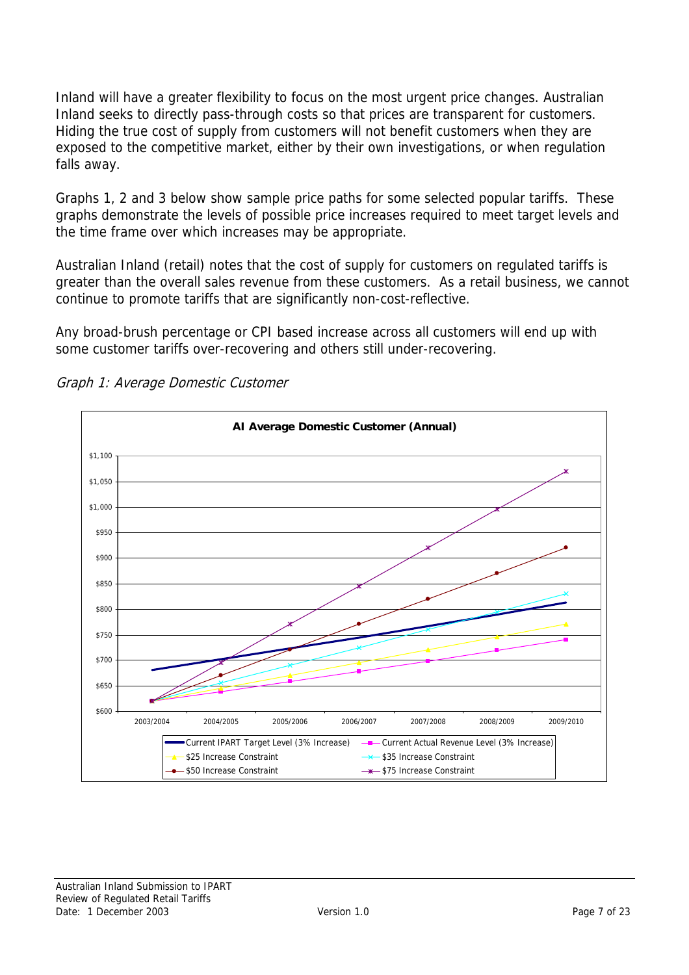Inland will have a greater flexibility to focus on the most urgent price changes. Australian Inland seeks to directly pass-through costs so that prices are transparent for customers. Hiding the true cost of supply from customers will not benefit customers when they are exposed to the competitive market, either by their own investigations, or when regulation falls away.

Graphs 1, 2 and 3 below show sample price paths for some selected popular tariffs. These graphs demonstrate the levels of possible price increases required to meet target levels and the time frame over which increases may be appropriate.

Australian Inland (retail) notes that the cost of supply for customers on regulated tariffs is greater than the overall sales revenue from these customers. As a retail business, we cannot continue to promote tariffs that are significantly non-cost-reflective.

Any broad-brush percentage or CPI based increase across all customers will end up with some customer tariffs over-recovering and others still under-recovering.



Graph 1: Average Domestic Customer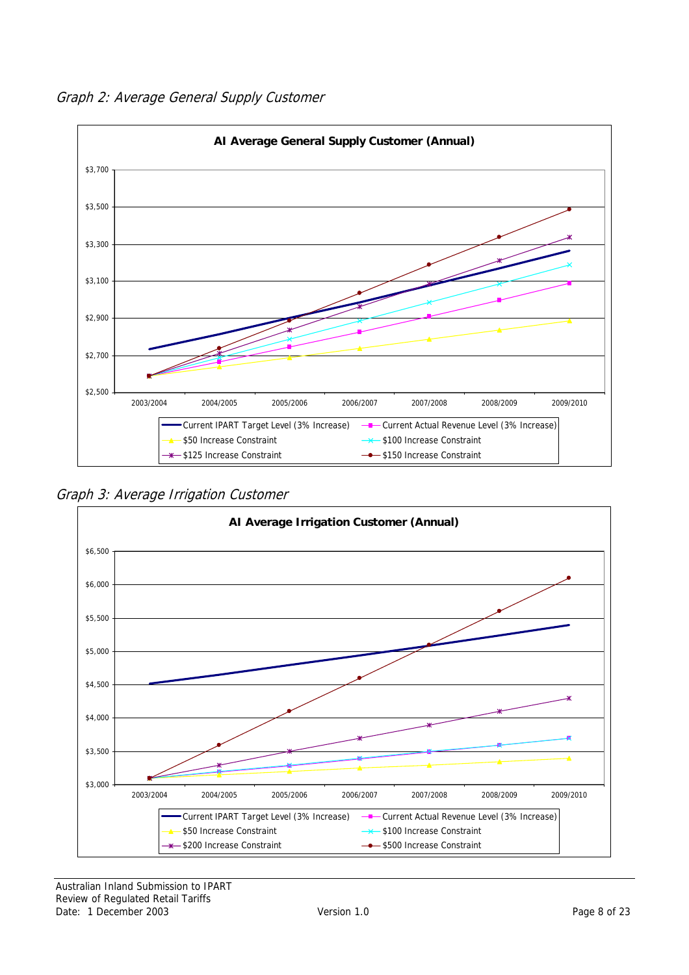Graph 2: Average General Supply Customer



Graph 3: Average Irrigation Customer



Australian Inland Submission to IPART Review of Regulated Retail Tariffs Date: 1 December 2003 Version 1.0 Version 1.0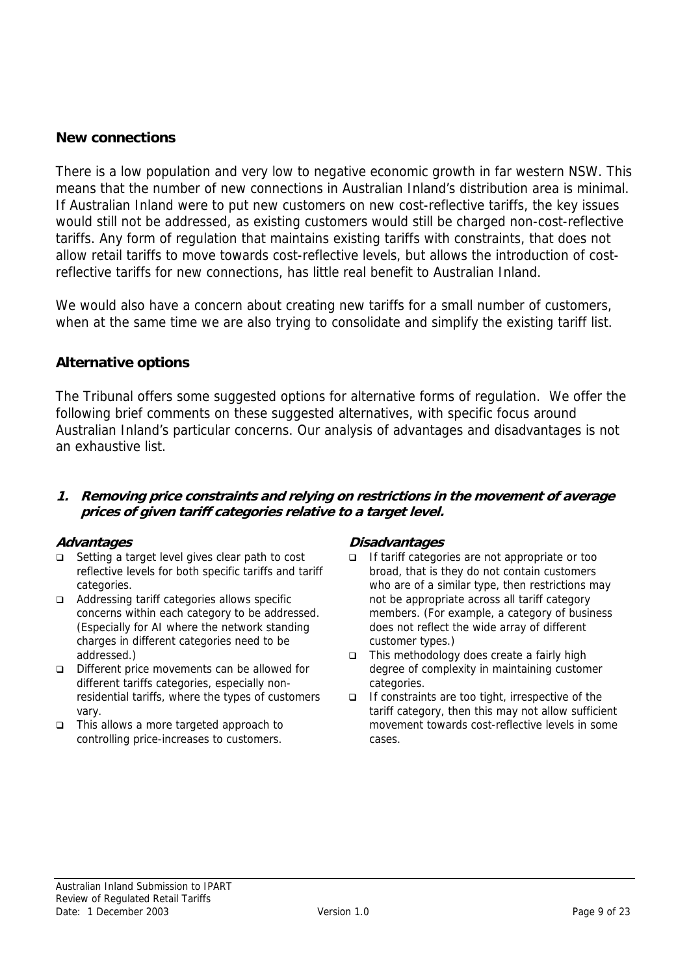#### <span id="page-8-0"></span>**New connections**

There is a low population and very low to negative economic growth in far western NSW. This means that the number of new connections in Australian Inland's distribution area is minimal. If Australian Inland were to put new customers on new cost-reflective tariffs, the key issues would still not be addressed, as existing customers would still be charged non-cost-reflective tariffs. Any form of regulation that maintains existing tariffs with constraints, that does not allow retail tariffs to move towards cost-reflective levels, but allows the introduction of costreflective tariffs for new connections, has little real benefit to Australian Inland.

We would also have a concern about creating new tariffs for a small number of customers, when at the same time we are also trying to consolidate and simplify the existing tariff list.

#### **Alternative options**

The Tribunal offers some suggested options for alternative forms of regulation. We offer the following brief comments on these suggested alternatives, with specific focus around Australian Inland's particular concerns. Our analysis of advantages and disadvantages is not an exhaustive list.

#### **1. Removing price constraints and relying on restrictions in the movement of average prices of given tariff categories relative to a target level.**

- □ Setting a target level gives clear path to cost reflective levels for both specific tariffs and tariff categories.
- $\Box$  Addressing tariff categories allows specific concerns within each category to be addressed. (Especially for AI where the network standing charges in different categories need to be addressed.)
- $\Box$  Different price movements can be allowed for different tariffs categories, especially nonresidential tariffs, where the types of customers vary.
- $\Box$  This allows a more targeted approach to controlling price-increases to customers.

#### **Advantages Disadvantages**

- If tariff categories are not appropriate or too broad, that is they do not contain customers who are of a similar type, then restrictions may not be appropriate across all tariff category members. (For example, a category of business does not reflect the wide array of different customer types.)
- $\Box$  This methodology does create a fairly high degree of complexity in maintaining customer categories.
- $\Box$  If constraints are too tight, irrespective of the tariff category, then this may not allow sufficient movement towards cost-reflective levels in some cases.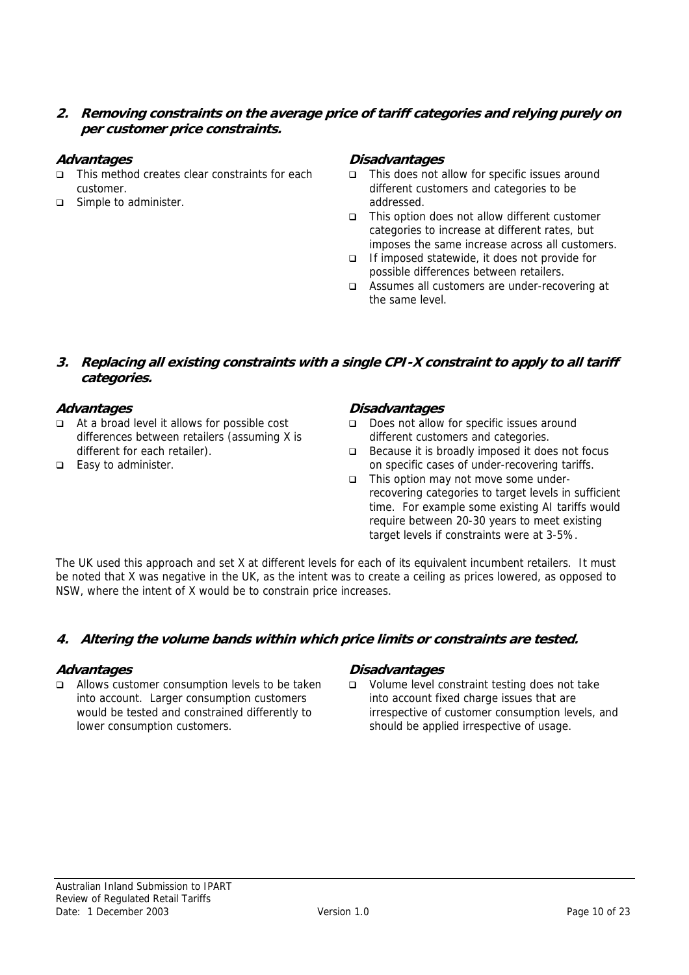**2. Removing constraints on the average price of tariff categories and relying purely on per customer price constraints.** 

- $\Box$  This method creates clear constraints for each customer.
- $\Box$  Simple to administer.

#### **Advantages Disadvantages**

- $\Box$  This does not allow for specific issues around different customers and categories to be addressed.
- $\Box$  This option does not allow different customer categories to increase at different rates, but imposes the same increase across all customers.
- $\Box$  If imposed statewide, it does not provide for possible differences between retailers.
- $\Box$  Assumes all customers are under-recovering at the same level.

#### **3. Replacing all existing constraints with a single CPI-X constraint to apply to all tariff categories.**

- $\Box$  At a broad level it allows for possible cost differences between retailers (assuming X is different for each retailer).
- $\Box$  Easy to administer.

#### **Advantages Disadvantages**

- $\Box$  Does not allow for specific issues around different customers and categories.
- $\Box$  Because it is broadly imposed it does not focus on specific cases of under-recovering tariffs.
- $\Box$  This option may not move some underrecovering categories to target levels in sufficient time. For example some existing AI tariffs would require between 20-30 years to meet existing target levels if constraints were at 3-5%.

The UK used this approach and set X at different levels for each of its equivalent incumbent retailers. It must be noted that X was negative in the UK, as the intent was to create a ceiling as prices lowered, as opposed to NSW, where the intent of X would be to constrain price increases.

#### **4. Altering the volume bands within which price limits or constraints are tested.**

 $\Box$  Allows customer consumption levels to be taken into account. Larger consumption customers would be tested and constrained differently to lower consumption customers.

#### **Advantages Disadvantages**

 $\Box$  Volume level constraint testing does not take into account fixed charge issues that are irrespective of customer consumption levels, and should be applied irrespective of usage.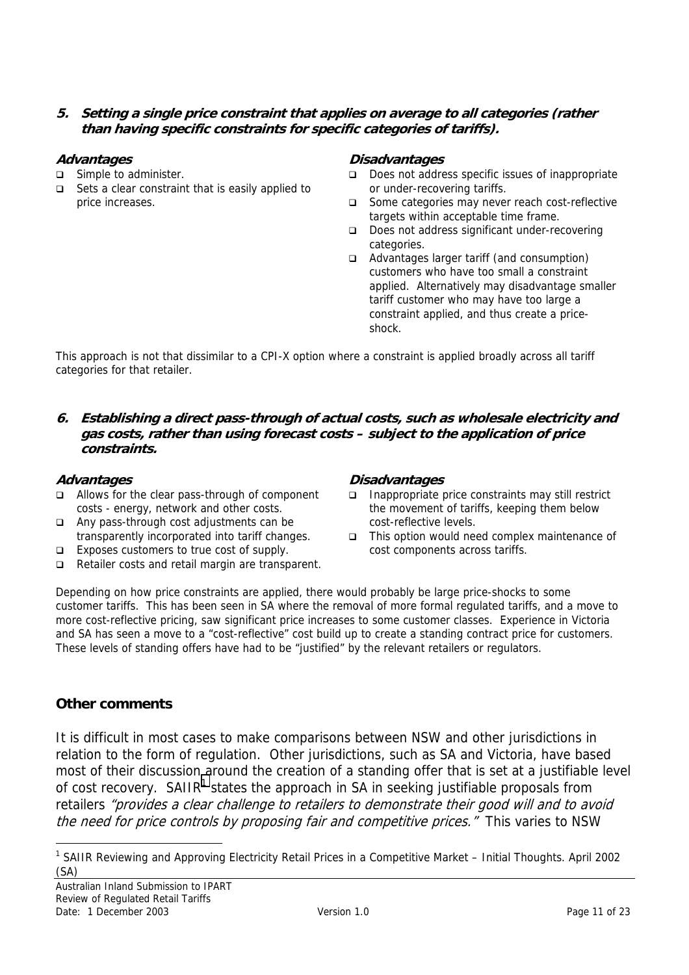#### <span id="page-10-0"></span>**5. Setting a single price constraint that applies on average to all categories (rather than having specific constraints for specific categories of tariffs).**

- $\Box$  Simple to administer.
- $\Box$  Sets a clear constraint that is easily applied to price increases.

#### **Advantages Disadvantages**

- $\Box$  Does not address specific issues of inappropriate or under-recovering tariffs.
- □ Some categories may never reach cost-reflective targets within acceptable time frame.
- $\Box$  Does not address significant under-recovering categories.
- $\Box$  Advantages larger tariff (and consumption) customers who have too small a constraint applied. Alternatively may disadvantage smaller tariff customer who may have too large a constraint applied, and thus create a priceshock.

This approach is not that dissimilar to a CPI-X option where a constraint is applied broadly across all tariff categories for that retailer.

**6. Establishing a direct pass-through of actual costs, such as wholesale electricity and gas costs, rather than using forecast costs – subject to the application of price constraints.** 

- $\Box$  Allows for the clear pass-through of component costs - energy, network and other costs.
- $\Box$  Any pass-through cost adjustments can be transparently incorporated into tariff changes.
- $\Box$  Exposes customers to true cost of supply.
- $\Box$  Retailer costs and retail margin are transparent.

#### **Advantages Disadvantages**

- $\Box$  Inappropriate price constraints may still restrict the movement of tariffs, keeping them below cost-reflective levels.
- $\Box$  This option would need complex maintenance of cost components across tariffs.

Depending on how price constraints are applied, there would probably be large price-shocks to some customer tariffs. This has been seen in SA where the removal of more formal regulated tariffs, and a move to more cost-reflective pricing, saw significant price increases to some customer classes. Experience in Victoria and SA has seen a move to a "cost-reflective" cost build up to create a standing contract price for customers. These levels of standing offers have had to be "justified" by the relevant retailers or regulators.

#### **Other comments**

 $\overline{a}$ 

It is difficult in most cases to make comparisons between NSW and other jurisdictions in relation to the form of regulation. Other jurisdictions, such as SA and Victoria, have based most of their discussion around the creation of a standing offer that is set at a justifiable level of cost recovery. SAIIR<sup>1</sup> states the approach in SA in seeking justifiable proposals from retailers "provides a clear challenge to retailers to demonstrate their good will and to avoid the need for price controls by proposing fair and competitive prices." This varies to NSW

<sup>&</sup>lt;sup>1</sup> SAIIR Reviewing and Approving Electricity Retail Prices in a Competitive Market – Initial Thoughts. April 2002 (SA)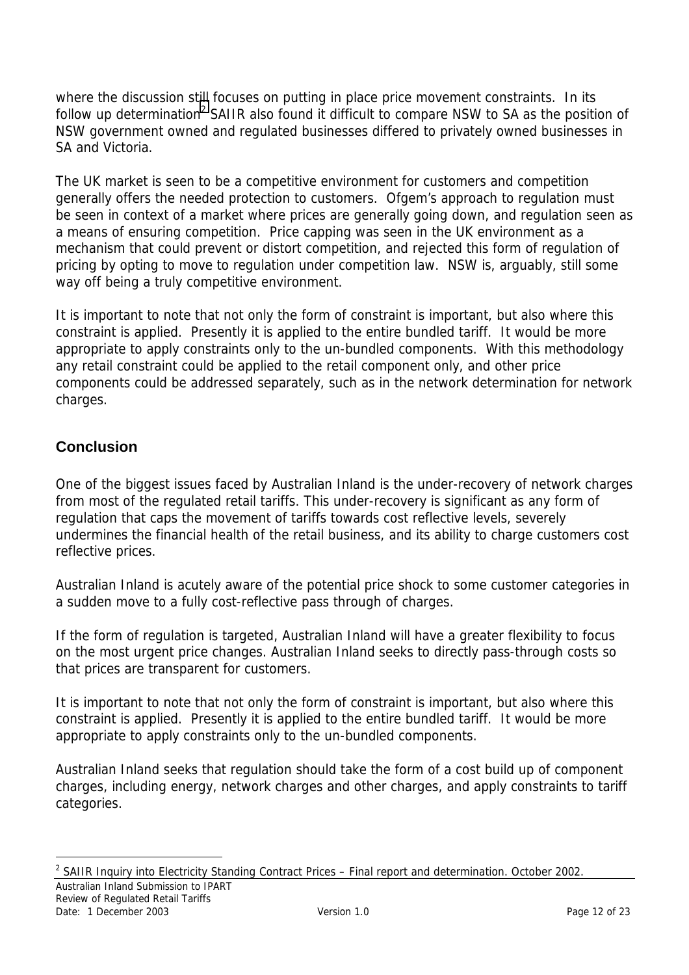<span id="page-11-0"></span>where the discussion still focuses on putting in place price movement constraints. In its follow up determination<sup>2</sup> SAIIR also found it difficult to compare NSW to SA as the position of NSW government owned and regulated businesses differed to privately owned businesses in SA and Victoria.

The UK market is seen to be a competitive environment for customers and competition generally offers the needed protection to customers. Ofgem's approach to regulation must be seen in context of a market where prices are generally going down, and regulation seen as a means of ensuring competition. Price capping was seen in the UK environment as a mechanism that could prevent or distort competition, and rejected this form of regulation of pricing by opting to move to regulation under competition law. NSW is, arguably, still some way off being a truly competitive environment.

It is important to note that not only the form of constraint is important, but also where this constraint is applied. Presently it is applied to the entire bundled tariff. It would be more appropriate to apply constraints only to the un-bundled components. With this methodology any retail constraint could be applied to the retail component only, and other price components could be addressed separately, such as in the network determination for network charges.

### **Conclusion**

One of the biggest issues faced by Australian Inland is the under-recovery of network charges from most of the regulated retail tariffs. This under-recovery is significant as any form of regulation that caps the movement of tariffs towards cost reflective levels, severely undermines the financial health of the retail business, and its ability to charge customers cost reflective prices.

Australian Inland is acutely aware of the potential price shock to some customer categories in a sudden move to a fully cost-reflective pass through of charges.

If the form of regulation is targeted, Australian Inland will have a greater flexibility to focus on the most urgent price changes. Australian Inland seeks to directly pass-through costs so that prices are transparent for customers.

It is important to note that not only the form of constraint is important, but also where this constraint is applied. Presently it is applied to the entire bundled tariff. It would be more appropriate to apply constraints only to the un-bundled components.

Australian Inland seeks that regulation should take the form of a cost build up of component charges, including energy, network charges and other charges, and apply constraints to tariff categories.

Australian Inland Submission to IPART  $\overline{a}$ <sup>2</sup> SAIIR Inquiry into Electricity Standing Contract Prices  $-$  Final report and determination. October 2002.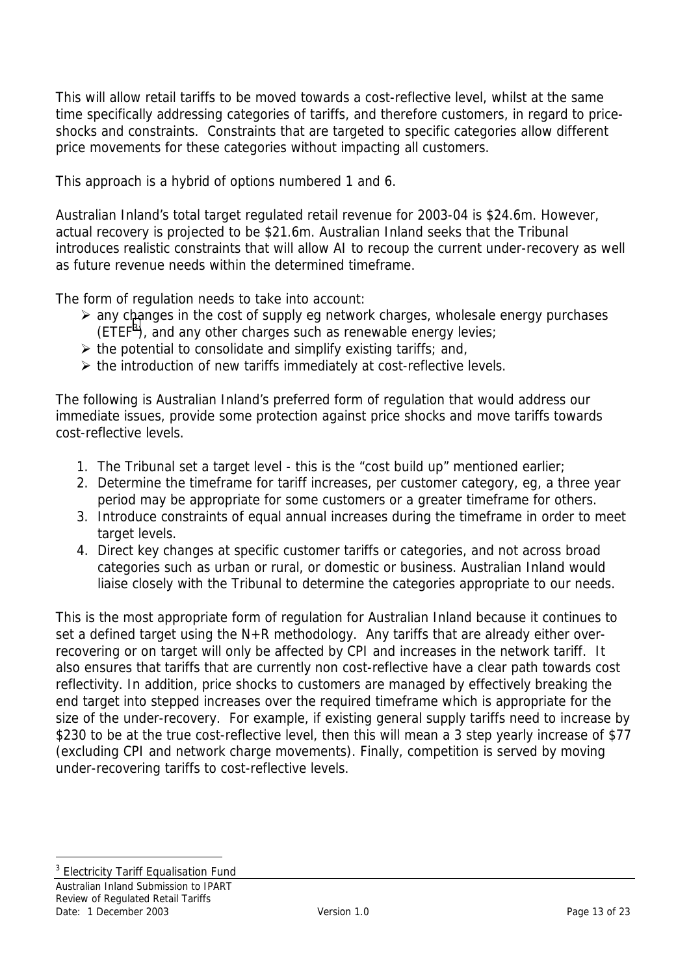This will allow retail tariffs to be moved towards a cost-reflective level, whilst at the same time specifically addressing categories of tariffs, and therefore customers, in regard to priceshocks and constraints. Constraints that are targeted to specific categories allow different price movements for these categories without impacting all customers.

This approach is a hybrid of options numbered 1 and 6.

Australian Inland's total target regulated retail revenue for 2003-04 is \$24.6m. However, actual recovery is projected to be \$21.6m. Australian Inland seeks that the Tribunal introduces realistic constraints that will allow AI to recoup the current under-recovery as well as future revenue needs within the determined timeframe.

The form of regulation needs to take into account:

- $\triangleright$  any changes in the cost of supply eg network charges, wholesale energy purchases  $(ETER<sup>3</sup>)$ , and any other charges such as renewable energy levies;
- $\triangleright$  the potential to consolidate and simplify existing tariffs; and,
- $\triangleright$  the introduction of new tariffs immediately at cost-reflective levels.

The following is Australian Inland's preferred form of regulation that would address our immediate issues, provide some protection against price shocks and move tariffs towards cost-reflective levels.

- 1. The Tribunal set a target level this is the "cost build up" mentioned earlier;
- 2. Determine the timeframe for tariff increases, per customer category, eg, a three year period may be appropriate for some customers or a greater timeframe for others.
- 3. Introduce constraints of equal annual increases during the timeframe in order to meet target levels.
- 4. Direct key changes at specific customer tariffs or categories, and not across broad categories such as urban or rural, or domestic or business. Australian Inland would liaise closely with the Tribunal to determine the categories appropriate to our needs.

This is the most appropriate form of regulation for Australian Inland because it continues to set a defined target using the N+R methodology. Any tariffs that are already either overrecovering or on target will only be affected by CPI and increases in the network tariff. It also ensures that tariffs that are currently non cost-reflective have a clear path towards cost reflectivity. In addition, price shocks to customers are managed by effectively breaking the end target into stepped increases over the required timeframe which is appropriate for the size of the under-recovery. For example, if existing general supply tariffs need to increase by \$230 to be at the true cost-reflective level, then this will mean a 3 step yearly increase of \$77 (excluding CPI and network charge movements). Finally, competition is served by moving under-recovering tariffs to cost-reflective levels.

 $\overline{a}$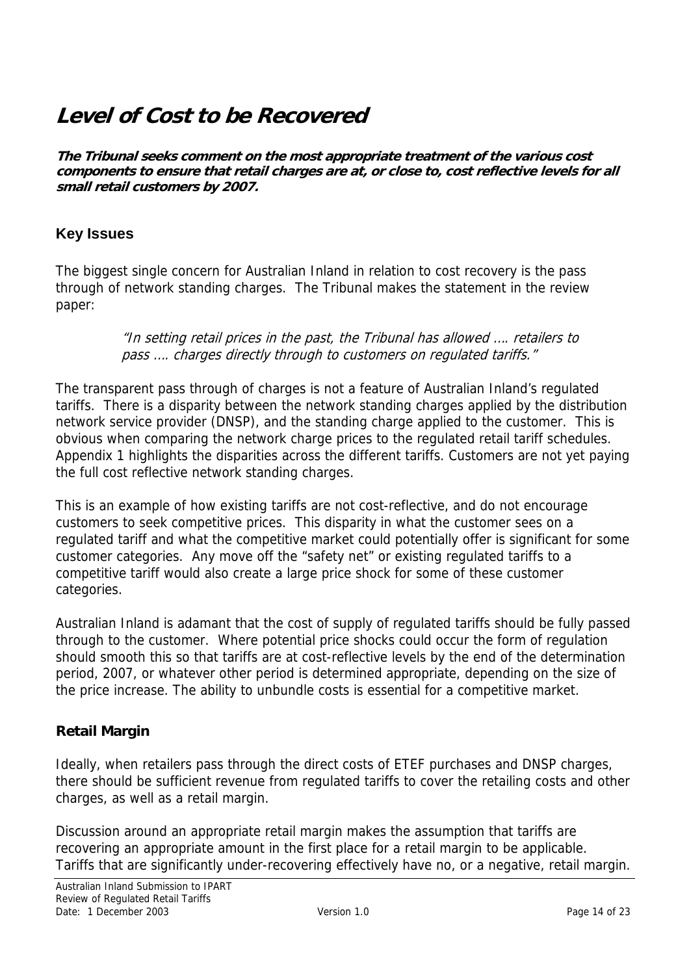## <span id="page-13-0"></span>**Level of Cost to be Recovered**

**The Tribunal seeks comment on the most appropriate treatment of the various cost components to ensure that retail charges are at, or close to, cost reflective levels for all small retail customers by 2007.** 

#### **Key Issues**

The biggest single concern for Australian Inland in relation to cost recovery is the pass through of network standing charges. The Tribunal makes the statement in the review paper:

> "In setting retail prices in the past, the Tribunal has allowed …. retailers to pass .... charges directly through to customers on regulated tariffs."

The transparent pass through of charges is not a feature of Australian Inland's regulated tariffs. There is a disparity between the network standing charges applied by the distribution network service provider (DNSP), and the standing charge applied to the customer. This is obvious when comparing the network charge prices to the regulated retail tariff schedules. Appendix 1 highlights the disparities across the different tariffs. Customers are not yet paying the full cost reflective network standing charges.

This is an example of how existing tariffs are not cost-reflective, and do not encourage customers to seek competitive prices. This disparity in what the customer sees on a regulated tariff and what the competitive market could potentially offer is significant for some customer categories. Any move off the "safety net" or existing regulated tariffs to a competitive tariff would also create a large price shock for some of these customer categories.

Australian Inland is adamant that the cost of supply of regulated tariffs should be fully passed through to the customer. Where potential price shocks could occur the form of regulation should smooth this so that tariffs are at cost-reflective levels by the end of the determination period, 2007, or whatever other period is determined appropriate, depending on the size of the price increase. The ability to unbundle costs is essential for a competitive market.

#### **Retail Margin**

Ideally, when retailers pass through the direct costs of ETEF purchases and DNSP charges, there should be sufficient revenue from regulated tariffs to cover the retailing costs and other charges, as well as a retail margin.

Discussion around an appropriate retail margin makes the assumption that tariffs are recovering an appropriate amount in the first place for a retail margin to be applicable. Tariffs that are significantly under-recovering effectively have no, or a negative, retail margin.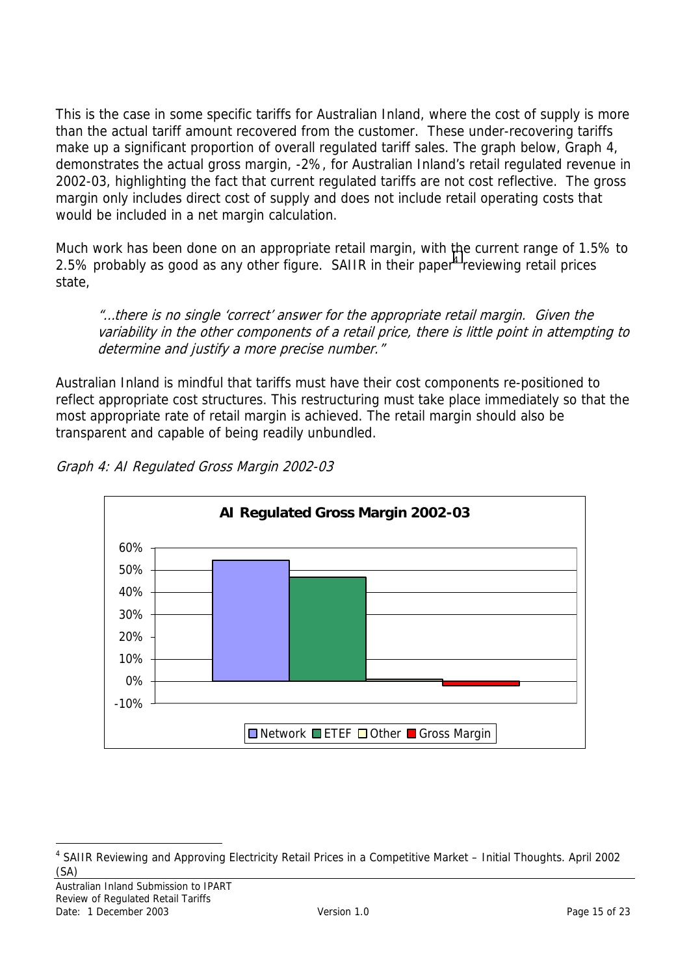This is the case in some specific tariffs for Australian Inland, where the cost of supply is more than the actual tariff amount recovered from the customer. These under-recovering tariffs make up a significant proportion of overall regulated tariff sales. The graph below, Graph 4, demonstrates the actual gross margin, -2%, for Australian Inland's retail regulated revenue in 2002-03, highlighting the fact that current regulated tariffs are not cost reflective. The gross margin only includes direct cost of supply and does not include retail operating costs that would be included in a net margin calculation.

Much work has been done on an appropriate retail margin, with the current range of 1.5% to 2.5% probably as good as any other figure. SAIIR in their paper<sup>4</sup> reviewing retail prices state,

"…there is no single 'correct' answer for the appropriate retail margin. Given the variability in the other components of a retail price, there is little point in attempting to determine and justify a more precise number."

Australian Inland is mindful that tariffs must have their cost components re-positioned to reflect appropriate cost structures. This restructuring must take place immediately so that the most appropriate rate of retail margin is achieved. The retail margin should also be transparent and capable of being readily unbundled.



Graph 4: AI Regulated Gross Margin 2002-03

 $\overline{a}$ <sup>4</sup> SAIIR Reviewing and Approving Electricity Retail Prices in a Competitive Market - Initial Thoughts. April 2002 (SA)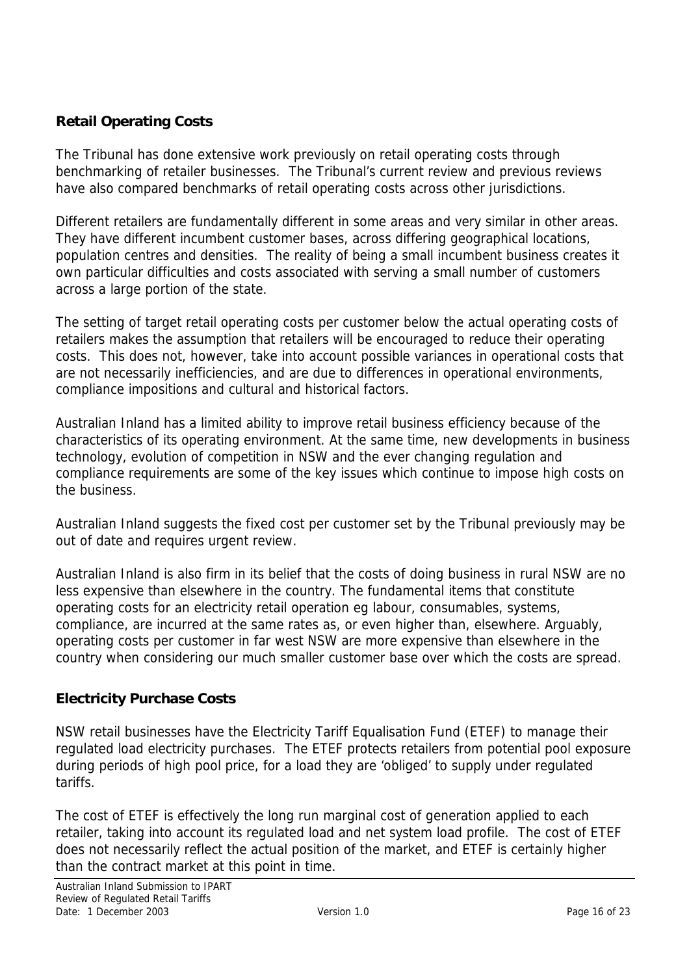### <span id="page-15-0"></span>**Retail Operating Costs**

The Tribunal has done extensive work previously on retail operating costs through benchmarking of retailer businesses. The Tribunal's current review and previous reviews have also compared benchmarks of retail operating costs across other jurisdictions.

Different retailers are fundamentally different in some areas and very similar in other areas. They have different incumbent customer bases, across differing geographical locations, population centres and densities. The reality of being a small incumbent business creates it own particular difficulties and costs associated with serving a small number of customers across a large portion of the state.

The setting of target retail operating costs per customer below the actual operating costs of retailers makes the assumption that retailers will be encouraged to reduce their operating costs. This does not, however, take into account possible variances in operational costs that are not necessarily inefficiencies, and are due to differences in operational environments, compliance impositions and cultural and historical factors.

Australian Inland has a limited ability to improve retail business efficiency because of the characteristics of its operating environment. At the same time, new developments in business technology, evolution of competition in NSW and the ever changing regulation and compliance requirements are some of the key issues which continue to impose high costs on the business.

Australian Inland suggests the fixed cost per customer set by the Tribunal previously may be out of date and requires urgent review.

Australian Inland is also firm in its belief that the costs of doing business in rural NSW are no less expensive than elsewhere in the country. The fundamental items that constitute operating costs for an electricity retail operation eg labour, consumables, systems, compliance, are incurred at the same rates as, or even higher than, elsewhere. Arguably, operating costs per customer in far west NSW are more expensive than elsewhere in the country when considering our much smaller customer base over which the costs are spread.

#### **Electricity Purchase Costs**

NSW retail businesses have the Electricity Tariff Equalisation Fund (ETEF) to manage their regulated load electricity purchases. The ETEF protects retailers from potential pool exposure during periods of high pool price, for a load they are 'obliged' to supply under regulated tariffs.

The cost of ETEF is effectively the long run marginal cost of generation applied to each retailer, taking into account its regulated load and net system load profile. The cost of ETEF does not necessarily reflect the actual position of the market, and ETEF is certainly higher than the contract market at this point in time.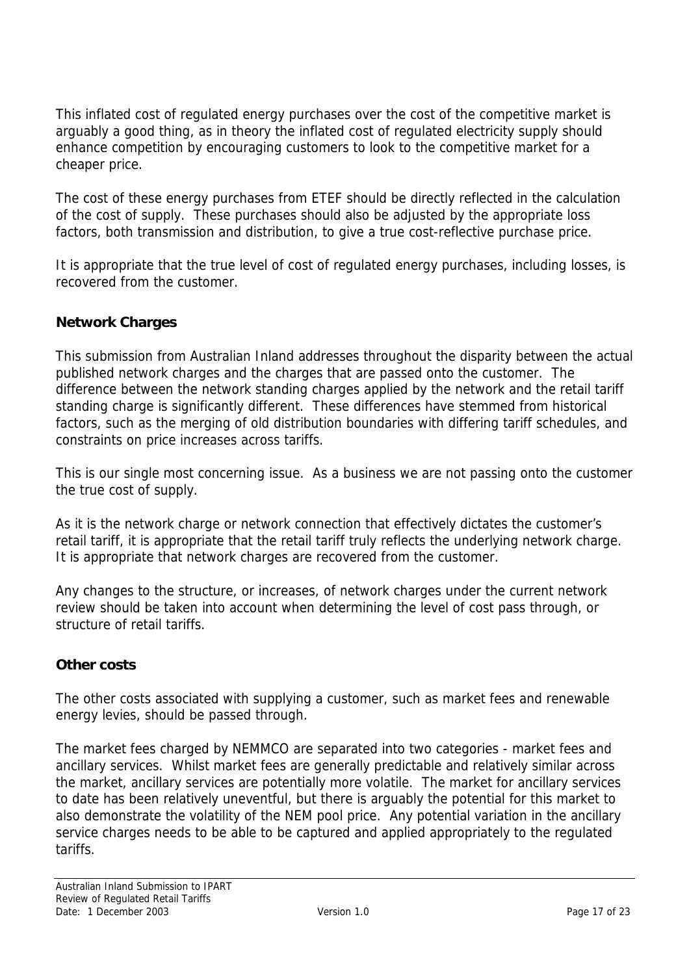<span id="page-16-0"></span>This inflated cost of regulated energy purchases over the cost of the competitive market is arguably a good thing, as in theory the inflated cost of regulated electricity supply should enhance competition by encouraging customers to look to the competitive market for a cheaper price.

The cost of these energy purchases from ETEF should be directly reflected in the calculation of the cost of supply. These purchases should also be adjusted by the appropriate loss factors, both transmission and distribution, to give a true cost-reflective purchase price.

It is appropriate that the true level of cost of regulated energy purchases, including losses, is recovered from the customer.

#### **Network Charges**

This submission from Australian Inland addresses throughout the disparity between the actual published network charges and the charges that are passed onto the customer. The difference between the network standing charges applied by the network and the retail tariff standing charge is significantly different. These differences have stemmed from historical factors, such as the merging of old distribution boundaries with differing tariff schedules, and constraints on price increases across tariffs.

This is our single most concerning issue. As a business we are not passing onto the customer the true cost of supply.

As it is the network charge or network connection that effectively dictates the customer's retail tariff, it is appropriate that the retail tariff truly reflects the underlying network charge. It is appropriate that network charges are recovered from the customer.

Any changes to the structure, or increases, of network charges under the current network review should be taken into account when determining the level of cost pass through, or structure of retail tariffs.

#### **Other costs**

The other costs associated with supplying a customer, such as market fees and renewable energy levies, should be passed through.

The market fees charged by NEMMCO are separated into two categories - market fees and ancillary services. Whilst market fees are generally predictable and relatively similar across the market, ancillary services are potentially more volatile. The market for ancillary services to date has been relatively uneventful, but there is arguably the potential for this market to also demonstrate the volatility of the NEM pool price. Any potential variation in the ancillary service charges needs to be able to be captured and applied appropriately to the regulated tariffs.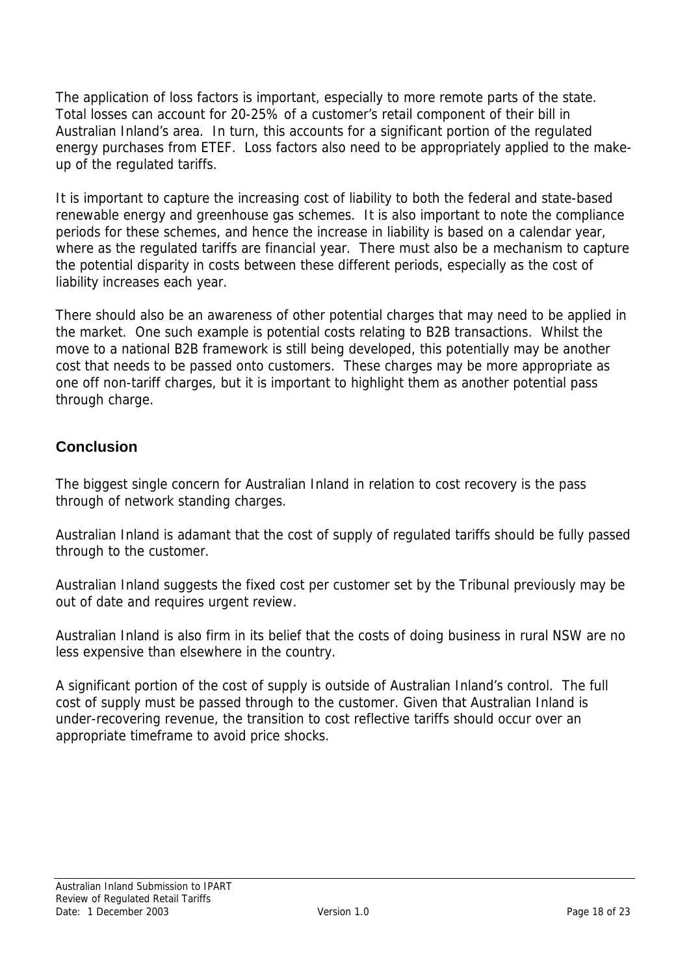<span id="page-17-0"></span>The application of loss factors is important, especially to more remote parts of the state. Total losses can account for 20-25% of a customer's retail component of their bill in Australian Inland's area. In turn, this accounts for a significant portion of the regulated energy purchases from ETEF. Loss factors also need to be appropriately applied to the makeup of the regulated tariffs.

It is important to capture the increasing cost of liability to both the federal and state-based renewable energy and greenhouse gas schemes. It is also important to note the compliance periods for these schemes, and hence the increase in liability is based on a calendar year, where as the regulated tariffs are financial year. There must also be a mechanism to capture the potential disparity in costs between these different periods, especially as the cost of liability increases each year.

There should also be an awareness of other potential charges that may need to be applied in the market. One such example is potential costs relating to B2B transactions. Whilst the move to a national B2B framework is still being developed, this potentially may be another cost that needs to be passed onto customers. These charges may be more appropriate as one off non-tariff charges, but it is important to highlight them as another potential pass through charge.

### **Conclusion**

The biggest single concern for Australian Inland in relation to cost recovery is the pass through of network standing charges.

Australian Inland is adamant that the cost of supply of regulated tariffs should be fully passed through to the customer.

Australian Inland suggests the fixed cost per customer set by the Tribunal previously may be out of date and requires urgent review.

Australian Inland is also firm in its belief that the costs of doing business in rural NSW are no less expensive than elsewhere in the country.

A significant portion of the cost of supply is outside of Australian Inland's control. The full cost of supply must be passed through to the customer. Given that Australian Inland is under-recovering revenue, the transition to cost reflective tariffs should occur over an appropriate timeframe to avoid price shocks.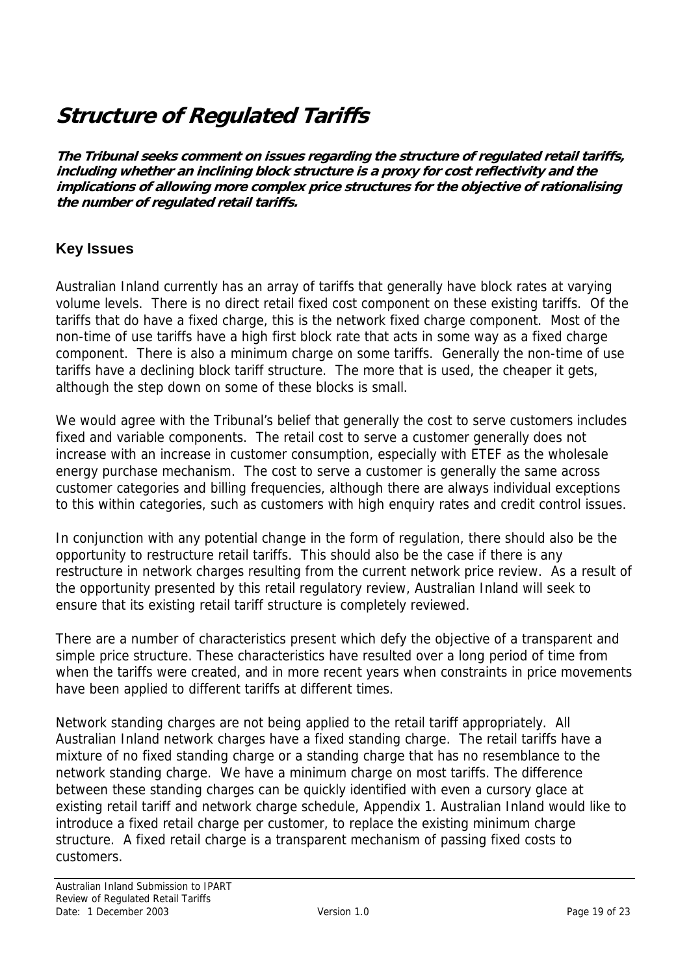## <span id="page-18-0"></span>**Structure of Regulated Tariffs**

**The Tribunal seeks comment on issues regarding the structure of regulated retail tariffs, including whether an inclining block structure is a proxy for cost reflectivity and the implications of allowing more complex price structures for the objective of rationalising the number of regulated retail tariffs.** 

### **Key Issues**

Australian Inland currently has an array of tariffs that generally have block rates at varying volume levels. There is no direct retail fixed cost component on these existing tariffs. Of the tariffs that do have a fixed charge, this is the network fixed charge component. Most of the non-time of use tariffs have a high first block rate that acts in some way as a fixed charge component. There is also a minimum charge on some tariffs. Generally the non-time of use tariffs have a declining block tariff structure. The more that is used, the cheaper it gets, although the step down on some of these blocks is small.

We would agree with the Tribunal's belief that generally the cost to serve customers includes fixed and variable components. The retail cost to serve a customer generally does not increase with an increase in customer consumption, especially with ETEF as the wholesale energy purchase mechanism. The cost to serve a customer is generally the same across customer categories and billing frequencies, although there are always individual exceptions to this within categories, such as customers with high enquiry rates and credit control issues.

In conjunction with any potential change in the form of regulation, there should also be the opportunity to restructure retail tariffs. This should also be the case if there is any restructure in network charges resulting from the current network price review. As a result of the opportunity presented by this retail regulatory review, Australian Inland will seek to ensure that its existing retail tariff structure is completely reviewed.

There are a number of characteristics present which defy the objective of a transparent and simple price structure. These characteristics have resulted over a long period of time from when the tariffs were created, and in more recent years when constraints in price movements have been applied to different tariffs at different times.

Network standing charges are not being applied to the retail tariff appropriately. All Australian Inland network charges have a fixed standing charge. The retail tariffs have a mixture of no fixed standing charge or a standing charge that has no resemblance to the network standing charge. We have a minimum charge on most tariffs. The difference between these standing charges can be quickly identified with even a cursory glace at existing retail tariff and network charge schedule, Appendix 1. Australian Inland would like to introduce a fixed retail charge per customer, to replace the existing minimum charge structure. A fixed retail charge is a transparent mechanism of passing fixed costs to customers.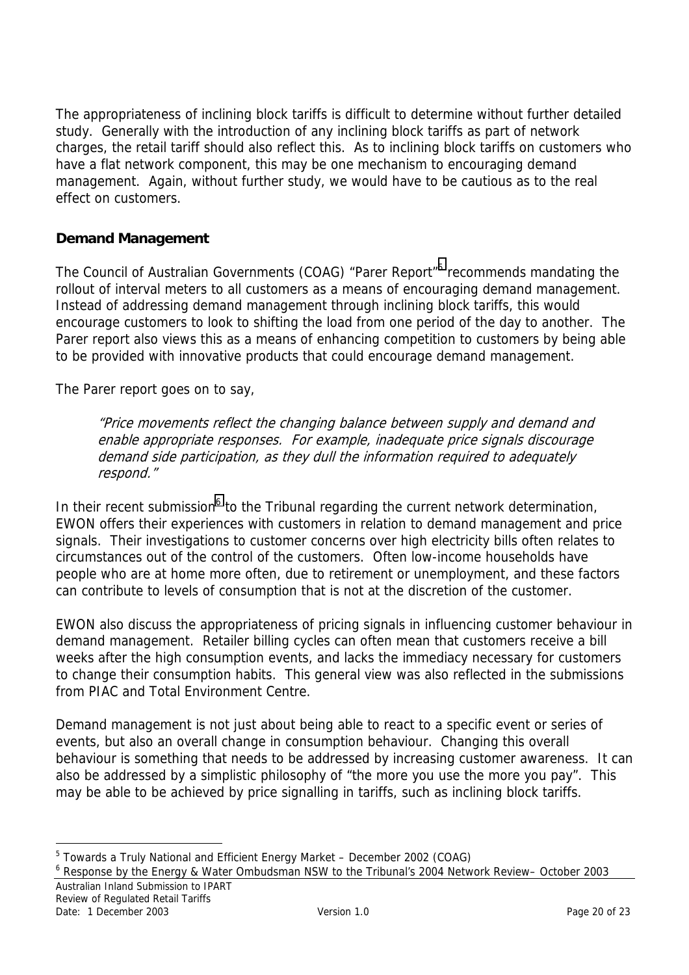<span id="page-19-0"></span>The appropriateness of inclining block tariffs is difficult to determine without further detailed study. Generally with the introduction of any inclining block tariffs as part of network charges, the retail tariff should also reflect this. As to inclining block tariffs on customers who have a flat network component, this may be one mechanism to encouraging demand management. Again, without further study, we would have to be cautious as to the real effect on customers.

#### **Demand Management**

The Council of Australian Governments (COAG) "Parer Report"<sup>5</sup> recommends mandating the rollout of interval meters to all customers as a means of encouraging demand management. Instead of addressing demand management through inclining block tariffs, this would encourage customers to look to shifting the load from one period of the day to another. The Parer report also views this as a means of enhancing competition to customers by being able to be provided with innovative products that could encourage demand management.

The Parer report goes on to say.

"Price movements reflect the changing balance between supply and demand and enable appropriate responses. For example, inadequate price signals discourage demand side participation, as they dull the information required to adequately respond."

In their recent submission<sup>6</sup> to the Tribunal regarding the current network determination, EWON offers their experiences with customers in relation to demand management and price signals. Their investigations to customer concerns over high electricity bills often relates to circumstances out of the control of the customers. Often low-income households have people who are at home more often, due to retirement or unemployment, and these factors can contribute to levels of consumption that is not at the discretion of the customer.

EWON also discuss the appropriateness of pricing signals in influencing customer behaviour in demand management. Retailer billing cycles can often mean that customers receive a bill weeks after the high consumption events, and lacks the immediacy necessary for customers to change their consumption habits. This general view was also reflected in the submissions from PIAC and Total Environment Centre.

Demand management is not just about being able to react to a specific event or series of events, but also an overall change in consumption behaviour. Changing this overall behaviour is something that needs to be addressed by increasing customer awareness. It can also be addressed by a simplistic philosophy of "the more you use the more you pay". This may be able to be achieved by price signalling in tariffs, such as inclining block tariffs.

 $\overline{a}$ 

<sup>&</sup>lt;sup>5</sup> Towards a Truly National and Efficient Energy Market – December 2002 (COAG)

Australian Inland Submission to IPART 6 Response by the Energy & Water Ombudsman NSW to the Tribunal's 2004 Network Review– October 2003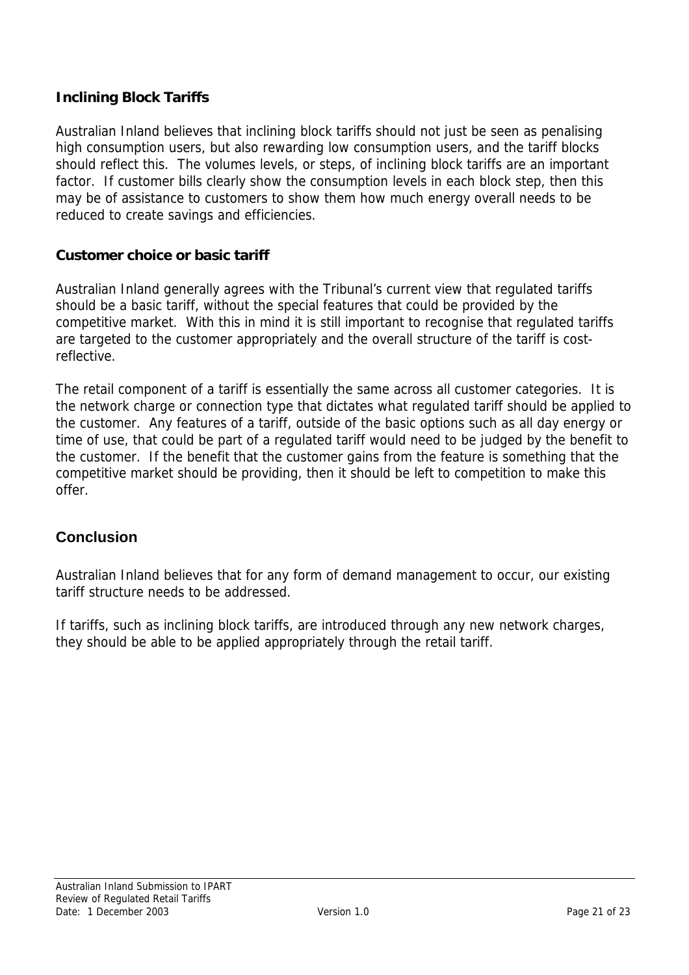#### <span id="page-20-0"></span>**Inclining Block Tariffs**

Australian Inland believes that inclining block tariffs should not just be seen as penalising high consumption users, but also rewarding low consumption users, and the tariff blocks should reflect this. The volumes levels, or steps, of inclining block tariffs are an important factor. If customer bills clearly show the consumption levels in each block step, then this may be of assistance to customers to show them how much energy overall needs to be reduced to create savings and efficiencies.

#### **Customer choice or basic tariff**

Australian Inland generally agrees with the Tribunal's current view that regulated tariffs should be a basic tariff, without the special features that could be provided by the competitive market. With this in mind it is still important to recognise that regulated tariffs are targeted to the customer appropriately and the overall structure of the tariff is costreflective.

The retail component of a tariff is essentially the same across all customer categories. It is the network charge or connection type that dictates what regulated tariff should be applied to the customer. Any features of a tariff, outside of the basic options such as all day energy or time of use, that could be part of a regulated tariff would need to be judged by the benefit to the customer. If the benefit that the customer gains from the feature is something that the competitive market should be providing, then it should be left to competition to make this offer.

#### **Conclusion**

Australian Inland believes that for any form of demand management to occur, our existing tariff structure needs to be addressed.

If tariffs, such as inclining block tariffs, are introduced through any new network charges, they should be able to be applied appropriately through the retail tariff.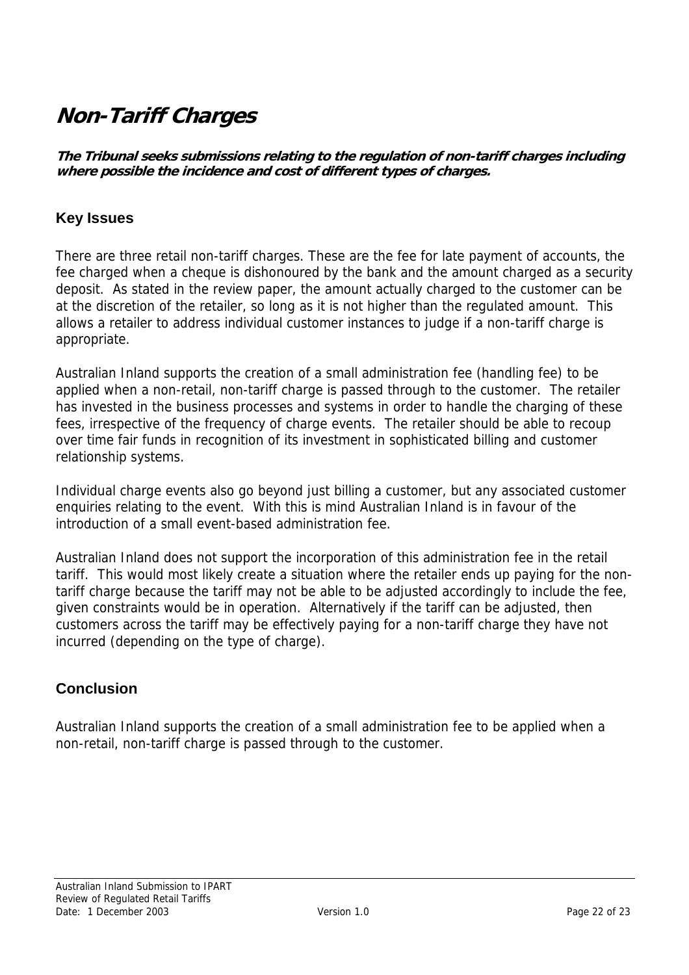## <span id="page-21-0"></span>**Non-Tariff Charges**

**The Tribunal seeks submissions relating to the regulation of non-tariff charges including where possible the incidence and cost of different types of charges.** 

### **Key Issues**

There are three retail non-tariff charges. These are the fee for late payment of accounts, the fee charged when a cheque is dishonoured by the bank and the amount charged as a security deposit. As stated in the review paper, the amount actually charged to the customer can be at the discretion of the retailer, so long as it is not higher than the regulated amount. This allows a retailer to address individual customer instances to judge if a non-tariff charge is appropriate.

Australian Inland supports the creation of a small administration fee (handling fee) to be applied when a non-retail, non-tariff charge is passed through to the customer. The retailer has invested in the business processes and systems in order to handle the charging of these fees, irrespective of the frequency of charge events. The retailer should be able to recoup over time fair funds in recognition of its investment in sophisticated billing and customer relationship systems.

Individual charge events also go beyond just billing a customer, but any associated customer enquiries relating to the event. With this is mind Australian Inland is in favour of the introduction of a small event-based administration fee.

Australian Inland does not support the incorporation of this administration fee in the retail tariff. This would most likely create a situation where the retailer ends up paying for the nontariff charge because the tariff may not be able to be adjusted accordingly to include the fee, given constraints would be in operation. Alternatively if the tariff can be adjusted, then customers across the tariff may be effectively paying for a non-tariff charge they have not incurred (depending on the type of charge).

### **Conclusion**

Australian Inland supports the creation of a small administration fee to be applied when a non-retail, non-tariff charge is passed through to the customer.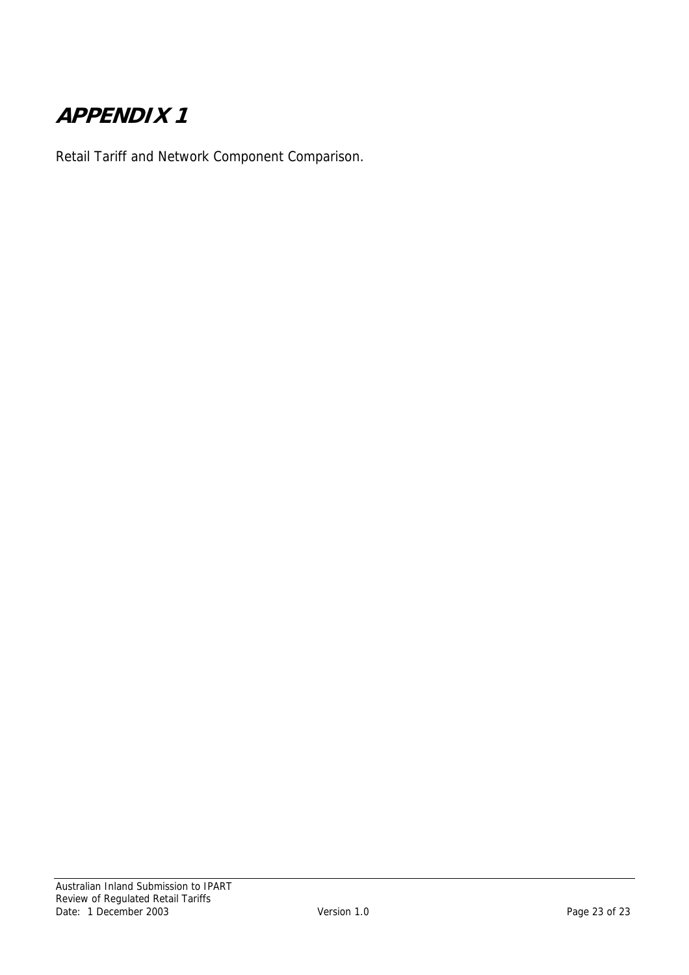## <span id="page-22-0"></span>**APPENDIX 1**

Retail Tariff and Network Component Comparison.